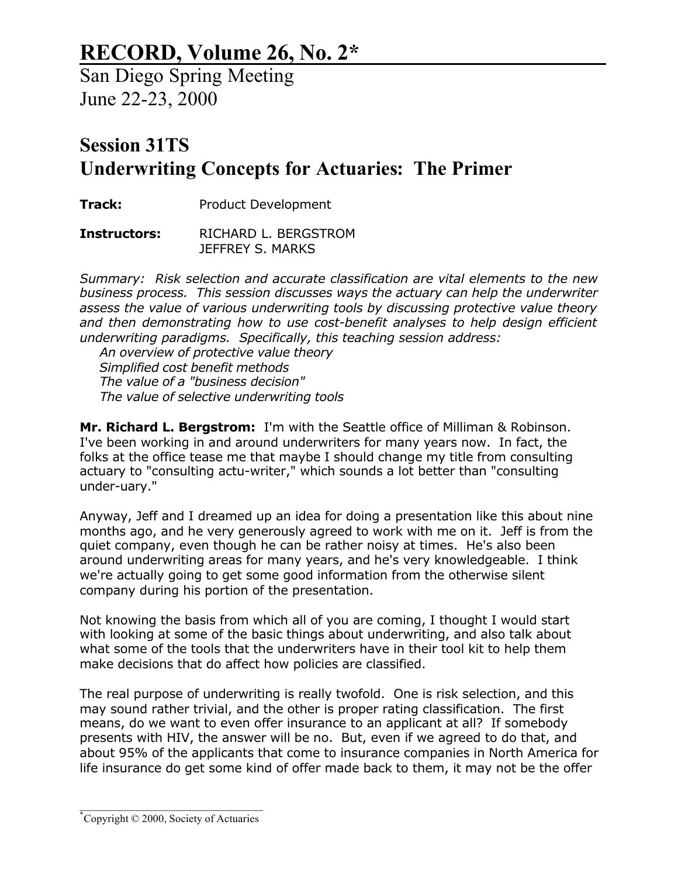## **RECORD, Volume 26, No. 2\***

San Diego Spring Meeting June 22-23, 2000

## **Session 31TS Underwriting Concepts for Actuaries: The Primer**

**Track:** Product Development

**Instructors:** RICHARD L. BERGSTROM JEFFREY S. MARKS

*Summary: Risk selection and accurate classification are vital elements to the new business process. This session discusses ways the actuary can help the underwriter assess the value of various underwriting tools by discussing protective value theory and then demonstrating how to use cost-benefit analyses to help design efficient underwriting paradigms. Specifically, this teaching session address:*

 *An overview of protective value theory Simplified cost benefit methods The value of a "business decision" The value of selective underwriting tools*

**Mr. Richard L. Bergstrom:** I'm with the Seattle office of Milliman & Robinson. I've been working in and around underwriters for many years now. In fact, the folks at the office tease me that maybe I should change my title from consulting actuary to "consulting actu-writer," which sounds a lot better than "consulting under-uary."

Anyway, Jeff and I dreamed up an idea for doing a presentation like this about nine months ago, and he very generously agreed to work with me on it. Jeff is from the quiet company, even though he can be rather noisy at times. He's also been around underwriting areas for many years, and he's very knowledgeable. I think we're actually going to get some good information from the otherwise silent company during his portion of the presentation.

Not knowing the basis from which all of you are coming, I thought I would start with looking at some of the basic things about underwriting, and also talk about what some of the tools that the underwriters have in their tool kit to help them make decisions that do affect how policies are classified.

The real purpose of underwriting is really twofold. One is risk selection, and this may sound rather trivial, and the other is proper rating classification. The first means, do we want to even offer insurance to an applicant at all? If somebody presents with HIV, the answer will be no. But, even if we agreed to do that, and about 95% of the applicants that come to insurance companies in North America for life insurance do get some kind of offer made back to them, it may not be the offer

\_\_\_\_\_\_\_\_\_\_\_\_\_\_\_\_\_\_\_\_\_\_\_\_\_\_\_\_\_\_\_\_\_ \*Copyright © 2000, Society of Actuaries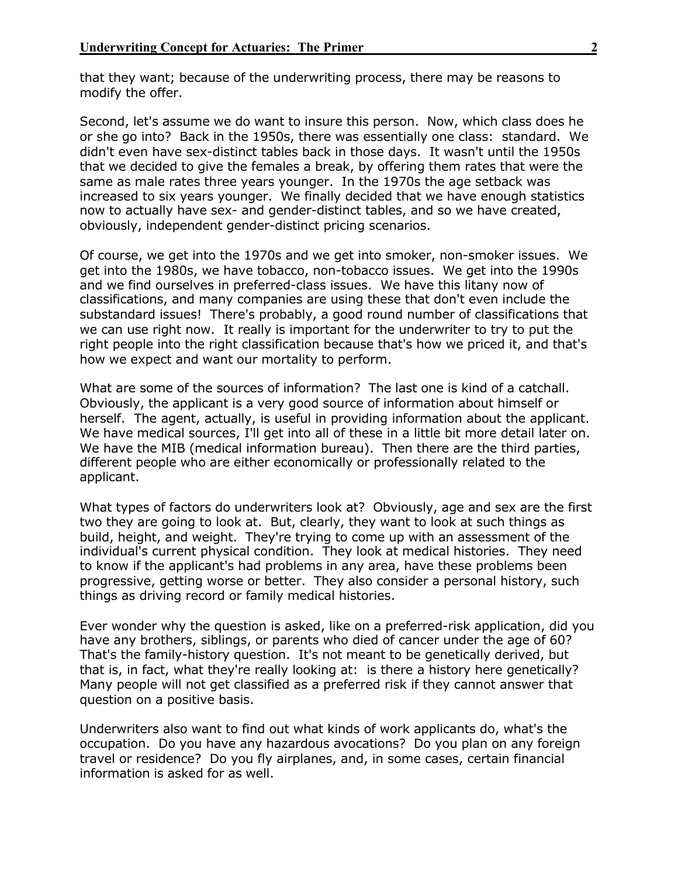that they want; because of the underwriting process, there may be reasons to modify the offer.

Second, let's assume we do want to insure this person. Now, which class does he or she go into? Back in the 1950s, there was essentially one class: standard. We didn't even have sex-distinct tables back in those days. It wasn't until the 1950s that we decided to give the females a break, by offering them rates that were the same as male rates three years younger. In the 1970s the age setback was increased to six years younger. We finally decided that we have enough statistics now to actually have sex- and gender-distinct tables, and so we have created, obviously, independent gender-distinct pricing scenarios.

Of course, we get into the 1970s and we get into smoker, non-smoker issues. We get into the 1980s, we have tobacco, non-tobacco issues. We get into the 1990s and we find ourselves in preferred-class issues. We have this litany now of classifications, and many companies are using these that don't even include the substandard issues! There's probably, a good round number of classifications that we can use right now. It really is important for the underwriter to try to put the right people into the right classification because that's how we priced it, and that's how we expect and want our mortality to perform.

What are some of the sources of information? The last one is kind of a catchall. Obviously, the applicant is a very good source of information about himself or herself. The agent, actually, is useful in providing information about the applicant. We have medical sources, I'll get into all of these in a little bit more detail later on. We have the MIB (medical information bureau). Then there are the third parties, different people who are either economically or professionally related to the applicant.

What types of factors do underwriters look at? Obviously, age and sex are the first two they are going to look at. But, clearly, they want to look at such things as build, height, and weight. They're trying to come up with an assessment of the individual's current physical condition. They look at medical histories. They need to know if the applicant's had problems in any area, have these problems been progressive, getting worse or better. They also consider a personal history, such things as driving record or family medical histories.

Ever wonder why the question is asked, like on a preferred-risk application, did you have any brothers, siblings, or parents who died of cancer under the age of 60? That's the family-history question. It's not meant to be genetically derived, but that is, in fact, what they're really looking at: is there a history here genetically? Many people will not get classified as a preferred risk if they cannot answer that question on a positive basis.

Underwriters also want to find out what kinds of work applicants do, what's the occupation. Do you have any hazardous avocations? Do you plan on any foreign travel or residence? Do you fly airplanes, and, in some cases, certain financial information is asked for as well.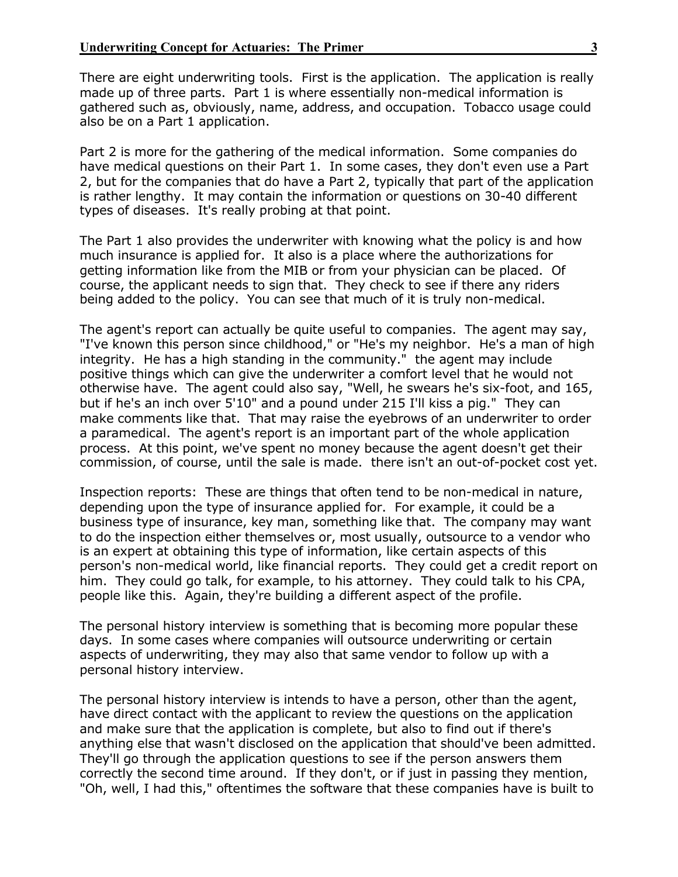There are eight underwriting tools. First is the application. The application is really made up of three parts. Part 1 is where essentially non-medical information is gathered such as, obviously, name, address, and occupation. Tobacco usage could also be on a Part 1 application.

Part 2 is more for the gathering of the medical information. Some companies do have medical questions on their Part 1. In some cases, they don't even use a Part 2, but for the companies that do have a Part 2, typically that part of the application is rather lengthy. It may contain the information or questions on 30-40 different types of diseases. It's really probing at that point.

The Part 1 also provides the underwriter with knowing what the policy is and how much insurance is applied for. It also is a place where the authorizations for getting information like from the MIB or from your physician can be placed. Of course, the applicant needs to sign that. They check to see if there any riders being added to the policy. You can see that much of it is truly non-medical.

The agent's report can actually be quite useful to companies. The agent may say, "I've known this person since childhood," or "He's my neighbor. He's a man of high integrity. He has a high standing in the community." the agent may include positive things which can give the underwriter a comfort level that he would not otherwise have. The agent could also say, "Well, he swears he's six-foot, and 165, but if he's an inch over 5'10" and a pound under 215 I'll kiss a pig." They can make comments like that. That may raise the eyebrows of an underwriter to order a paramedical. The agent's report is an important part of the whole application process. At this point, we've spent no money because the agent doesn't get their commission, of course, until the sale is made. there isn't an out-of-pocket cost yet.

Inspection reports: These are things that often tend to be non-medical in nature, depending upon the type of insurance applied for. For example, it could be a business type of insurance, key man, something like that. The company may want to do the inspection either themselves or, most usually, outsource to a vendor who is an expert at obtaining this type of information, like certain aspects of this person's non-medical world, like financial reports. They could get a credit report on him. They could go talk, for example, to his attorney. They could talk to his CPA, people like this. Again, they're building a different aspect of the profile.

The personal history interview is something that is becoming more popular these days. In some cases where companies will outsource underwriting or certain aspects of underwriting, they may also that same vendor to follow up with a personal history interview.

The personal history interview is intends to have a person, other than the agent, have direct contact with the applicant to review the questions on the application and make sure that the application is complete, but also to find out if there's anything else that wasn't disclosed on the application that should've been admitted. They'll go through the application questions to see if the person answers them correctly the second time around. If they don't, or if just in passing they mention, "Oh, well, I had this," oftentimes the software that these companies have is built to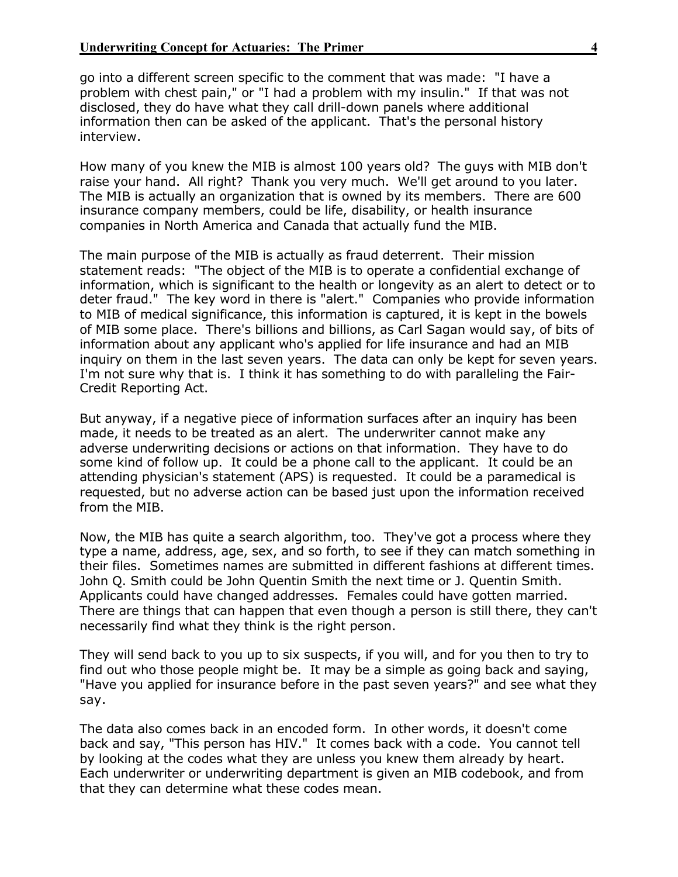go into a different screen specific to the comment that was made: "I have a problem with chest pain," or "I had a problem with my insulin." If that was not disclosed, they do have what they call drill-down panels where additional information then can be asked of the applicant. That's the personal history interview.

How many of you knew the MIB is almost 100 years old? The guys with MIB don't raise your hand. All right? Thank you very much. We'll get around to you later. The MIB is actually an organization that is owned by its members. There are 600 insurance company members, could be life, disability, or health insurance companies in North America and Canada that actually fund the MIB.

The main purpose of the MIB is actually as fraud deterrent. Their mission statement reads: "The object of the MIB is to operate a confidential exchange of information, which is significant to the health or longevity as an alert to detect or to deter fraud." The key word in there is "alert." Companies who provide information to MIB of medical significance, this information is captured, it is kept in the bowels of MIB some place. There's billions and billions, as Carl Sagan would say, of bits of information about any applicant who's applied for life insurance and had an MIB inquiry on them in the last seven years. The data can only be kept for seven years. I'm not sure why that is. I think it has something to do with paralleling the Fair-Credit Reporting Act.

But anyway, if a negative piece of information surfaces after an inquiry has been made, it needs to be treated as an alert. The underwriter cannot make any adverse underwriting decisions or actions on that information. They have to do some kind of follow up. It could be a phone call to the applicant. It could be an attending physician's statement (APS) is requested. It could be a paramedical is requested, but no adverse action can be based just upon the information received from the MIB.

Now, the MIB has quite a search algorithm, too. They've got a process where they type a name, address, age, sex, and so forth, to see if they can match something in their files. Sometimes names are submitted in different fashions at different times. John Q. Smith could be John Quentin Smith the next time or J. Quentin Smith. Applicants could have changed addresses. Females could have gotten married. There are things that can happen that even though a person is still there, they can't necessarily find what they think is the right person.

They will send back to you up to six suspects, if you will, and for you then to try to find out who those people might be. It may be a simple as going back and saying, "Have you applied for insurance before in the past seven years?" and see what they say.

The data also comes back in an encoded form. In other words, it doesn't come back and say, "This person has HIV." It comes back with a code. You cannot tell by looking at the codes what they are unless you knew them already by heart. Each underwriter or underwriting department is given an MIB codebook, and from that they can determine what these codes mean.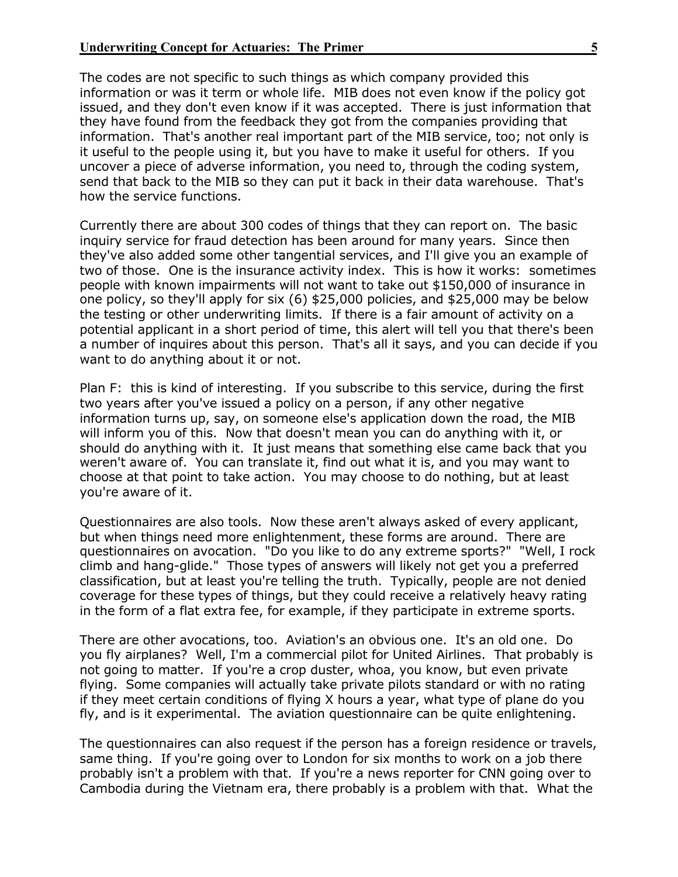The codes are not specific to such things as which company provided this information or was it term or whole life. MIB does not even know if the policy got issued, and they don't even know if it was accepted. There is just information that they have found from the feedback they got from the companies providing that information. That's another real important part of the MIB service, too; not only is it useful to the people using it, but you have to make it useful for others. If you uncover a piece of adverse information, you need to, through the coding system, send that back to the MIB so they can put it back in their data warehouse. That's how the service functions.

Currently there are about 300 codes of things that they can report on. The basic inquiry service for fraud detection has been around for many years. Since then they've also added some other tangential services, and I'll give you an example of two of those. One is the insurance activity index. This is how it works: sometimes people with known impairments will not want to take out \$150,000 of insurance in one policy, so they'll apply for six (6) \$25,000 policies, and \$25,000 may be below the testing or other underwriting limits. If there is a fair amount of activity on a potential applicant in a short period of time, this alert will tell you that there's been a number of inquires about this person. That's all it says, and you can decide if you want to do anything about it or not.

Plan F: this is kind of interesting. If you subscribe to this service, during the first two years after you've issued a policy on a person, if any other negative information turns up, say, on someone else's application down the road, the MIB will inform you of this. Now that doesn't mean you can do anything with it, or should do anything with it. It just means that something else came back that you weren't aware of. You can translate it, find out what it is, and you may want to choose at that point to take action. You may choose to do nothing, but at least you're aware of it.

Questionnaires are also tools. Now these aren't always asked of every applicant, but when things need more enlightenment, these forms are around. There are questionnaires on avocation. "Do you like to do any extreme sports?" "Well, I rock climb and hang-glide." Those types of answers will likely not get you a preferred classification, but at least you're telling the truth. Typically, people are not denied coverage for these types of things, but they could receive a relatively heavy rating in the form of a flat extra fee, for example, if they participate in extreme sports.

There are other avocations, too. Aviation's an obvious one. It's an old one. Do you fly airplanes? Well, I'm a commercial pilot for United Airlines. That probably is not going to matter. If you're a crop duster, whoa, you know, but even private flying. Some companies will actually take private pilots standard or with no rating if they meet certain conditions of flying X hours a year, what type of plane do you fly, and is it experimental. The aviation questionnaire can be quite enlightening.

The questionnaires can also request if the person has a foreign residence or travels, same thing. If you're going over to London for six months to work on a job there probably isn't a problem with that. If you're a news reporter for CNN going over to Cambodia during the Vietnam era, there probably is a problem with that. What the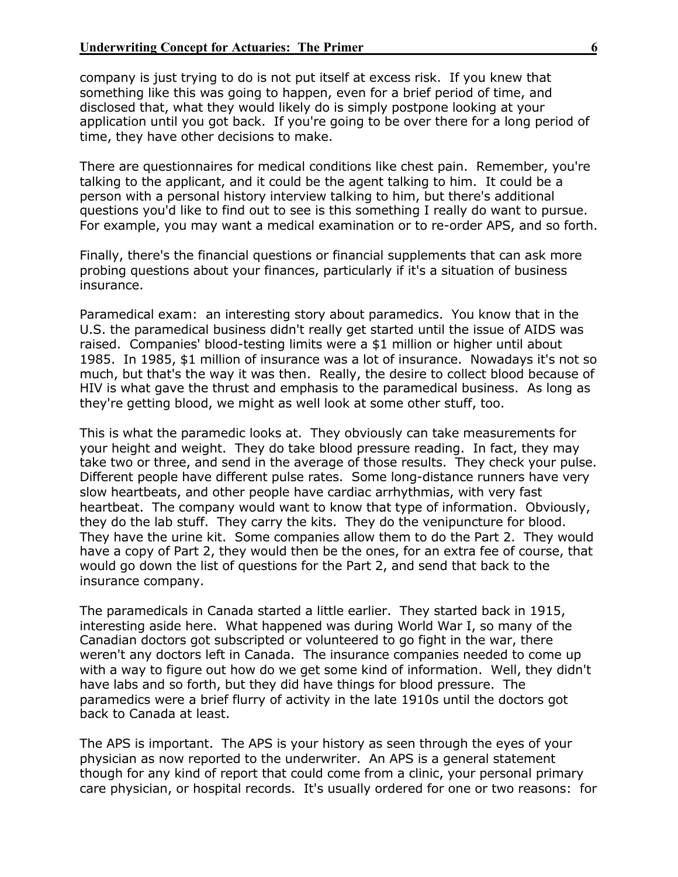company is just trying to do is not put itself at excess risk. If you knew that something like this was going to happen, even for a brief period of time, and disclosed that, what they would likely do is simply postpone looking at your application until you got back. If you're going to be over there for a long period of time, they have other decisions to make.

There are questionnaires for medical conditions like chest pain. Remember, you're talking to the applicant, and it could be the agent talking to him. It could be a person with a personal history interview talking to him, but there's additional questions you'd like to find out to see is this something I really do want to pursue. For example, you may want a medical examination or to re-order APS, and so forth.

Finally, there's the financial questions or financial supplements that can ask more probing questions about your finances, particularly if it's a situation of business insurance.

Paramedical exam: an interesting story about paramedics. You know that in the U.S. the paramedical business didn't really get started until the issue of AIDS was raised. Companies' blood-testing limits were a \$1 million or higher until about 1985. In 1985, \$1 million of insurance was a lot of insurance. Nowadays it's not so much, but that's the way it was then. Really, the desire to collect blood because of HIV is what gave the thrust and emphasis to the paramedical business. As long as they're getting blood, we might as well look at some other stuff, too.

This is what the paramedic looks at. They obviously can take measurements for your height and weight. They do take blood pressure reading. In fact, they may take two or three, and send in the average of those results. They check your pulse. Different people have different pulse rates. Some long-distance runners have very slow heartbeats, and other people have cardiac arrhythmias, with very fast heartbeat. The company would want to know that type of information. Obviously, they do the lab stuff. They carry the kits. They do the venipuncture for blood. They have the urine kit. Some companies allow them to do the Part 2. They would have a copy of Part 2, they would then be the ones, for an extra fee of course, that would go down the list of questions for the Part 2, and send that back to the insurance company.

The paramedicals in Canada started a little earlier. They started back in 1915, interesting aside here. What happened was during World War I, so many of the Canadian doctors got subscripted or volunteered to go fight in the war, there weren't any doctors left in Canada. The insurance companies needed to come up with a way to figure out how do we get some kind of information. Well, they didn't have labs and so forth, but they did have things for blood pressure. The paramedics were a brief flurry of activity in the late 1910s until the doctors got back to Canada at least.

The APS is important. The APS is your history as seen through the eyes of your physician as now reported to the underwriter. An APS is a general statement though for any kind of report that could come from a clinic, your personal primary care physician, or hospital records. It's usually ordered for one or two reasons: for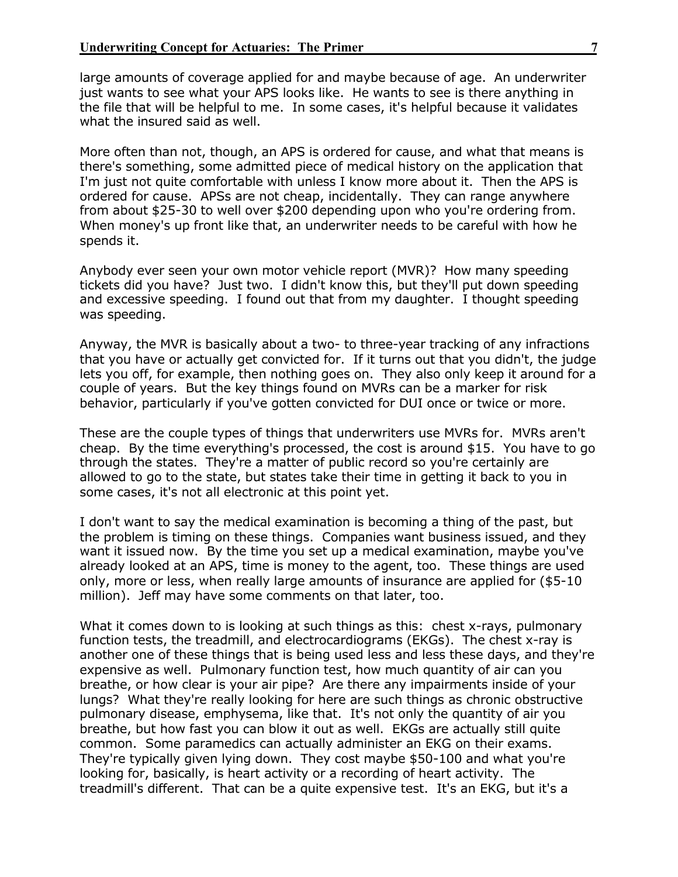large amounts of coverage applied for and maybe because of age. An underwriter just wants to see what your APS looks like. He wants to see is there anything in the file that will be helpful to me. In some cases, it's helpful because it validates what the insured said as well.

More often than not, though, an APS is ordered for cause, and what that means is there's something, some admitted piece of medical history on the application that I'm just not quite comfortable with unless I know more about it. Then the APS is ordered for cause. APSs are not cheap, incidentally. They can range anywhere from about \$25-30 to well over \$200 depending upon who you're ordering from. When money's up front like that, an underwriter needs to be careful with how he spends it.

Anybody ever seen your own motor vehicle report (MVR)? How many speeding tickets did you have? Just two. I didn't know this, but they'll put down speeding and excessive speeding. I found out that from my daughter. I thought speeding was speeding.

Anyway, the MVR is basically about a two- to three-year tracking of any infractions that you have or actually get convicted for. If it turns out that you didn't, the judge lets you off, for example, then nothing goes on. They also only keep it around for a couple of years. But the key things found on MVRs can be a marker for risk behavior, particularly if you've gotten convicted for DUI once or twice or more.

These are the couple types of things that underwriters use MVRs for. MVRs aren't cheap. By the time everything's processed, the cost is around \$15. You have to go through the states. They're a matter of public record so you're certainly are allowed to go to the state, but states take their time in getting it back to you in some cases, it's not all electronic at this point yet.

I don't want to say the medical examination is becoming a thing of the past, but the problem is timing on these things. Companies want business issued, and they want it issued now. By the time you set up a medical examination, maybe you've already looked at an APS, time is money to the agent, too. These things are used only, more or less, when really large amounts of insurance are applied for (\$5-10 million). Jeff may have some comments on that later, too.

What it comes down to is looking at such things as this: chest x-rays, pulmonary function tests, the treadmill, and electrocardiograms (EKGs). The chest x-ray is another one of these things that is being used less and less these days, and they're expensive as well. Pulmonary function test, how much quantity of air can you breathe, or how clear is your air pipe? Are there any impairments inside of your lungs? What they're really looking for here are such things as chronic obstructive pulmonary disease, emphysema, like that. It's not only the quantity of air you breathe, but how fast you can blow it out as well. EKGs are actually still quite common. Some paramedics can actually administer an EKG on their exams. They're typically given lying down. They cost maybe \$50-100 and what you're looking for, basically, is heart activity or a recording of heart activity. The treadmill's different. That can be a quite expensive test. It's an EKG, but it's a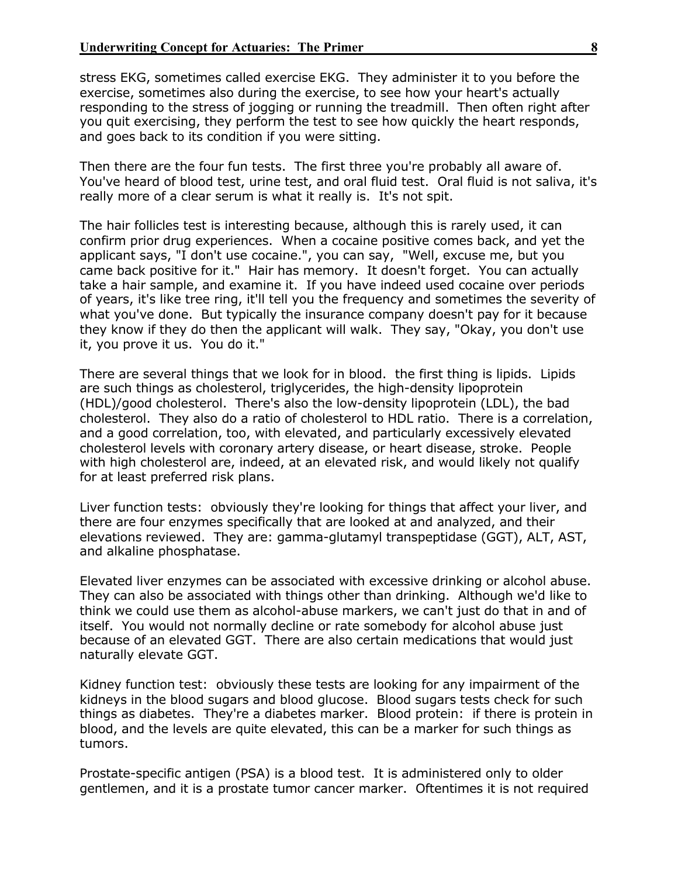stress EKG, sometimes called exercise EKG. They administer it to you before the exercise, sometimes also during the exercise, to see how your heart's actually responding to the stress of jogging or running the treadmill. Then often right after you quit exercising, they perform the test to see how quickly the heart responds, and goes back to its condition if you were sitting.

Then there are the four fun tests. The first three you're probably all aware of. You've heard of blood test, urine test, and oral fluid test. Oral fluid is not saliva, it's really more of a clear serum is what it really is. It's not spit.

The hair follicles test is interesting because, although this is rarely used, it can confirm prior drug experiences. When a cocaine positive comes back, and yet the applicant says, "I don't use cocaine.", you can say, "Well, excuse me, but you came back positive for it." Hair has memory. It doesn't forget. You can actually take a hair sample, and examine it. If you have indeed used cocaine over periods of years, it's like tree ring, it'll tell you the frequency and sometimes the severity of what you've done. But typically the insurance company doesn't pay for it because they know if they do then the applicant will walk. They say, "Okay, you don't use it, you prove it us. You do it."

There are several things that we look for in blood. the first thing is lipids. Lipids are such things as cholesterol, triglycerides, the high-density lipoprotein (HDL)/good cholesterol. There's also the low-density lipoprotein (LDL), the bad cholesterol. They also do a ratio of cholesterol to HDL ratio. There is a correlation, and a good correlation, too, with elevated, and particularly excessively elevated cholesterol levels with coronary artery disease, or heart disease, stroke. People with high cholesterol are, indeed, at an elevated risk, and would likely not qualify for at least preferred risk plans.

Liver function tests: obviously they're looking for things that affect your liver, and there are four enzymes specifically that are looked at and analyzed, and their elevations reviewed. They are: gamma-glutamyl transpeptidase (GGT), ALT, AST, and alkaline phosphatase.

Elevated liver enzymes can be associated with excessive drinking or alcohol abuse. They can also be associated with things other than drinking. Although we'd like to think we could use them as alcohol-abuse markers, we can't just do that in and of itself. You would not normally decline or rate somebody for alcohol abuse just because of an elevated GGT. There are also certain medications that would just naturally elevate GGT.

Kidney function test: obviously these tests are looking for any impairment of the kidneys in the blood sugars and blood glucose. Blood sugars tests check for such things as diabetes. They're a diabetes marker. Blood protein: if there is protein in blood, and the levels are quite elevated, this can be a marker for such things as tumors.

Prostate-specific antigen (PSA) is a blood test. It is administered only to older gentlemen, and it is a prostate tumor cancer marker. Oftentimes it is not required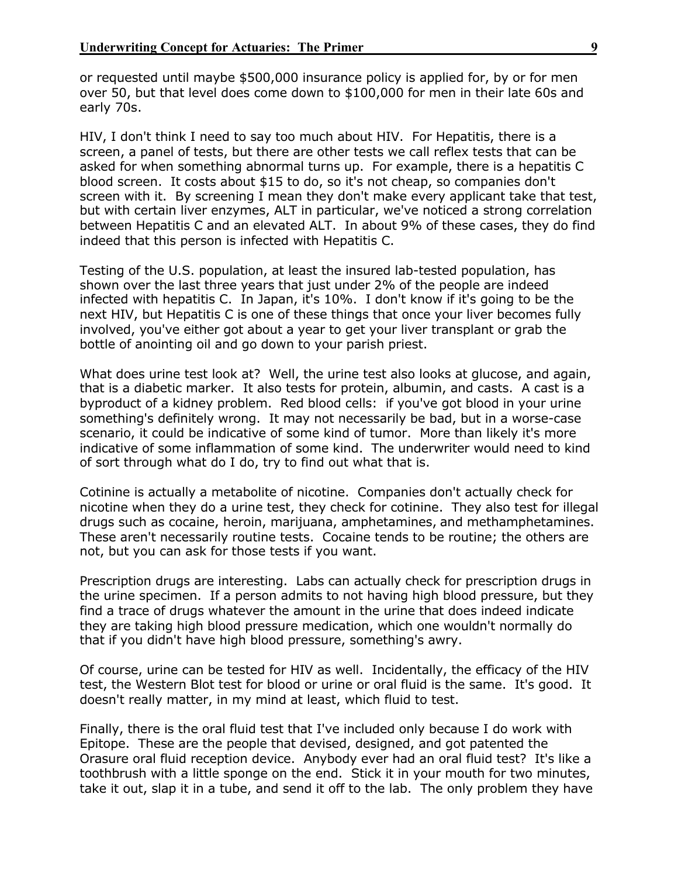or requested until maybe \$500,000 insurance policy is applied for, by or for men over 50, but that level does come down to \$100,000 for men in their late 60s and early 70s.

HIV, I don't think I need to say too much about HIV. For Hepatitis, there is a screen, a panel of tests, but there are other tests we call reflex tests that can be asked for when something abnormal turns up. For example, there is a hepatitis C blood screen. It costs about \$15 to do, so it's not cheap, so companies don't screen with it. By screening I mean they don't make every applicant take that test, but with certain liver enzymes, ALT in particular, we've noticed a strong correlation between Hepatitis C and an elevated ALT. In about 9% of these cases, they do find indeed that this person is infected with Hepatitis C.

Testing of the U.S. population, at least the insured lab-tested population, has shown over the last three years that just under 2% of the people are indeed infected with hepatitis C. In Japan, it's 10%. I don't know if it's going to be the next HIV, but Hepatitis C is one of these things that once your liver becomes fully involved, you've either got about a year to get your liver transplant or grab the bottle of anointing oil and go down to your parish priest.

What does urine test look at? Well, the urine test also looks at glucose, and again, that is a diabetic marker. It also tests for protein, albumin, and casts. A cast is a byproduct of a kidney problem. Red blood cells: if you've got blood in your urine something's definitely wrong. It may not necessarily be bad, but in a worse-case scenario, it could be indicative of some kind of tumor. More than likely it's more indicative of some inflammation of some kind. The underwriter would need to kind of sort through what do I do, try to find out what that is.

Cotinine is actually a metabolite of nicotine. Companies don't actually check for nicotine when they do a urine test, they check for cotinine. They also test for illegal drugs such as cocaine, heroin, marijuana, amphetamines, and methamphetamines. These aren't necessarily routine tests. Cocaine tends to be routine; the others are not, but you can ask for those tests if you want.

Prescription drugs are interesting. Labs can actually check for prescription drugs in the urine specimen. If a person admits to not having high blood pressure, but they find a trace of drugs whatever the amount in the urine that does indeed indicate they are taking high blood pressure medication, which one wouldn't normally do that if you didn't have high blood pressure, something's awry.

Of course, urine can be tested for HIV as well. Incidentally, the efficacy of the HIV test, the Western Blot test for blood or urine or oral fluid is the same. It's good. It doesn't really matter, in my mind at least, which fluid to test.

Finally, there is the oral fluid test that I've included only because I do work with Epitope. These are the people that devised, designed, and got patented the Orasure oral fluid reception device. Anybody ever had an oral fluid test? It's like a toothbrush with a little sponge on the end. Stick it in your mouth for two minutes, take it out, slap it in a tube, and send it off to the lab. The only problem they have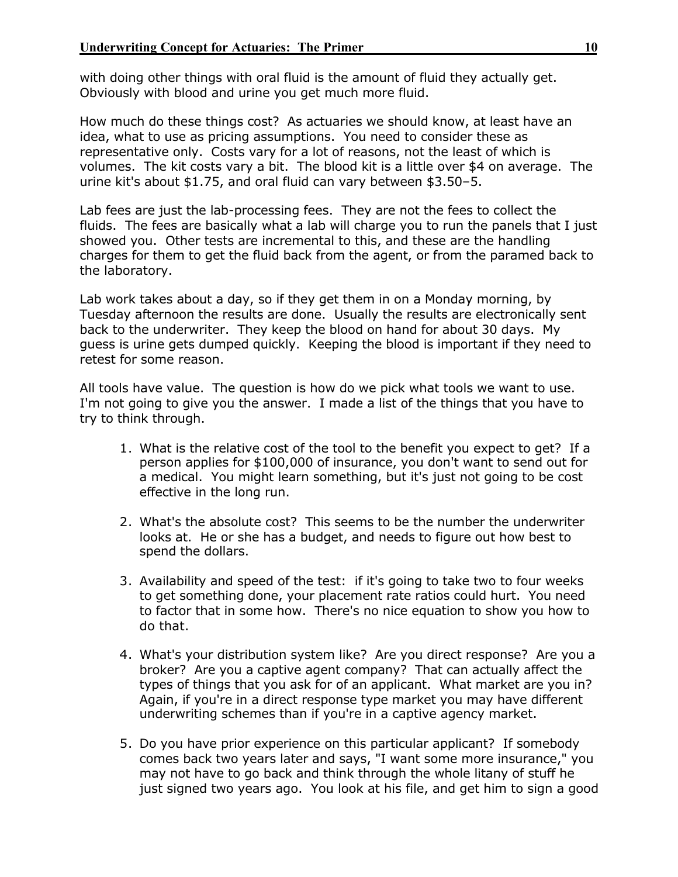with doing other things with oral fluid is the amount of fluid they actually get. Obviously with blood and urine you get much more fluid.

How much do these things cost? As actuaries we should know, at least have an idea, what to use as pricing assumptions. You need to consider these as representative only. Costs vary for a lot of reasons, not the least of which is volumes. The kit costs vary a bit. The blood kit is a little over \$4 on average. The urine kit's about \$1.75, and oral fluid can vary between \$3.50–5.

Lab fees are just the lab-processing fees. They are not the fees to collect the fluids. The fees are basically what a lab will charge you to run the panels that I just showed you. Other tests are incremental to this, and these are the handling charges for them to get the fluid back from the agent, or from the paramed back to the laboratory.

Lab work takes about a day, so if they get them in on a Monday morning, by Tuesday afternoon the results are done. Usually the results are electronically sent back to the underwriter. They keep the blood on hand for about 30 days. My guess is urine gets dumped quickly. Keeping the blood is important if they need to retest for some reason.

All tools have value. The question is how do we pick what tools we want to use. I'm not going to give you the answer. I made a list of the things that you have to try to think through.

- 1. What is the relative cost of the tool to the benefit you expect to get? If a person applies for \$100,000 of insurance, you don't want to send out for a medical. You might learn something, but it's just not going to be cost effective in the long run.
- 2. What's the absolute cost? This seems to be the number the underwriter looks at. He or she has a budget, and needs to figure out how best to spend the dollars.
- 3. Availability and speed of the test: if it's going to take two to four weeks to get something done, your placement rate ratios could hurt. You need to factor that in some how. There's no nice equation to show you how to do that.
- 4. What's your distribution system like? Are you direct response? Are you a broker? Are you a captive agent company? That can actually affect the types of things that you ask for of an applicant. What market are you in? Again, if you're in a direct response type market you may have different underwriting schemes than if you're in a captive agency market.
- 5. Do you have prior experience on this particular applicant? If somebody comes back two years later and says, "I want some more insurance," you may not have to go back and think through the whole litany of stuff he just signed two years ago. You look at his file, and get him to sign a good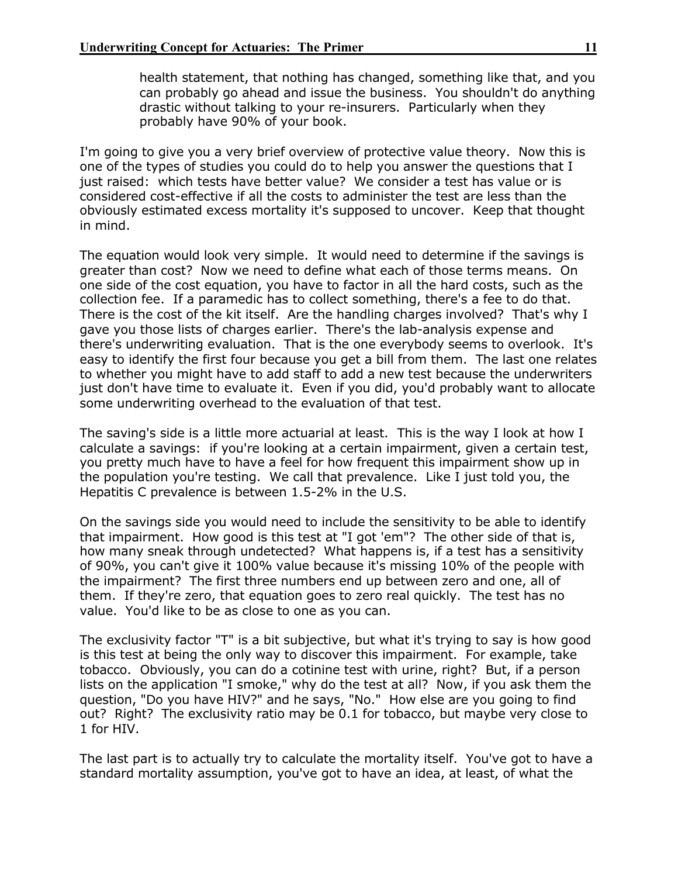health statement, that nothing has changed, something like that, and you can probably go ahead and issue the business. You shouldn't do anything drastic without talking to your re-insurers. Particularly when they probably have 90% of your book.

I'm going to give you a very brief overview of protective value theory. Now this is one of the types of studies you could do to help you answer the questions that I just raised: which tests have better value? We consider a test has value or is considered cost-effective if all the costs to administer the test are less than the obviously estimated excess mortality it's supposed to uncover. Keep that thought in mind.

The equation would look very simple. It would need to determine if the savings is greater than cost? Now we need to define what each of those terms means. On one side of the cost equation, you have to factor in all the hard costs, such as the collection fee. If a paramedic has to collect something, there's a fee to do that. There is the cost of the kit itself. Are the handling charges involved? That's why I gave you those lists of charges earlier. There's the lab-analysis expense and there's underwriting evaluation. That is the one everybody seems to overlook. It's easy to identify the first four because you get a bill from them. The last one relates to whether you might have to add staff to add a new test because the underwriters just don't have time to evaluate it. Even if you did, you'd probably want to allocate some underwriting overhead to the evaluation of that test.

The saving's side is a little more actuarial at least. This is the way I look at how I calculate a savings: if you're looking at a certain impairment, given a certain test, you pretty much have to have a feel for how frequent this impairment show up in the population you're testing. We call that prevalence. Like I just told you, the Hepatitis C prevalence is between 1.5-2% in the U.S.

On the savings side you would need to include the sensitivity to be able to identify that impairment. How good is this test at "I got 'em"? The other side of that is, how many sneak through undetected? What happens is, if a test has a sensitivity of 90%, you can't give it 100% value because it's missing 10% of the people with the impairment? The first three numbers end up between zero and one, all of them. If they're zero, that equation goes to zero real quickly. The test has no value. You'd like to be as close to one as you can.

The exclusivity factor "T" is a bit subjective, but what it's trying to say is how good is this test at being the only way to discover this impairment. For example, take tobacco. Obviously, you can do a cotinine test with urine, right? But, if a person lists on the application "I smoke," why do the test at all? Now, if you ask them the question, "Do you have HIV?" and he says, "No." How else are you going to find out? Right? The exclusivity ratio may be 0.1 for tobacco, but maybe very close to 1 for HIV.

The last part is to actually try to calculate the mortality itself. You've got to have a standard mortality assumption, you've got to have an idea, at least, of what the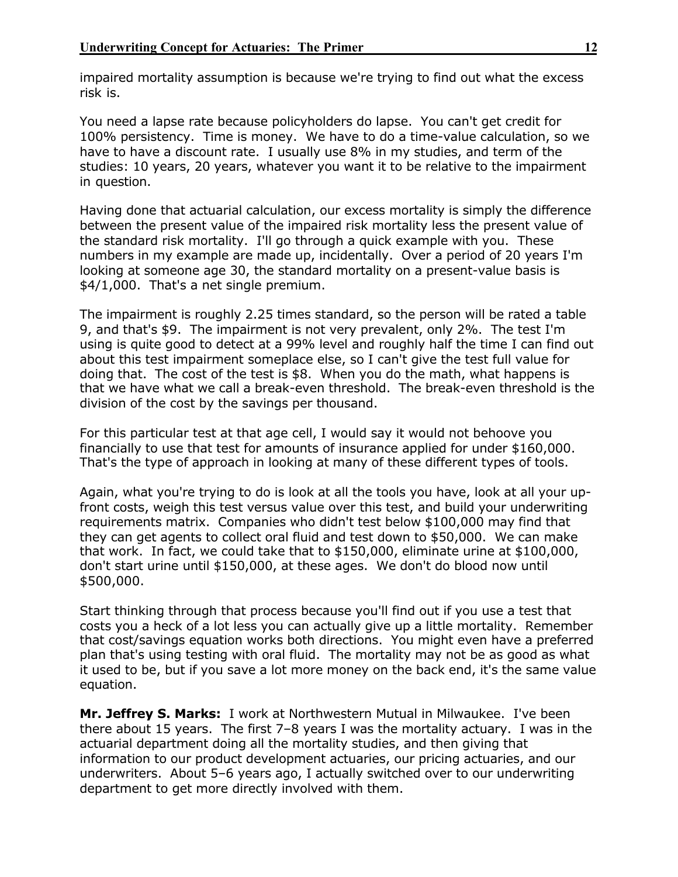impaired mortality assumption is because we're trying to find out what the excess risk is.

You need a lapse rate because policyholders do lapse. You can't get credit for 100% persistency. Time is money. We have to do a time-value calculation, so we have to have a discount rate. I usually use 8% in my studies, and term of the studies: 10 years, 20 years, whatever you want it to be relative to the impairment in question.

Having done that actuarial calculation, our excess mortality is simply the difference between the present value of the impaired risk mortality less the present value of the standard risk mortality. I'll go through a quick example with you. These numbers in my example are made up, incidentally. Over a period of 20 years I'm looking at someone age 30, the standard mortality on a present-value basis is \$4/1,000. That's a net single premium.

The impairment is roughly 2.25 times standard, so the person will be rated a table 9, and that's \$9. The impairment is not very prevalent, only 2%. The test I'm using is quite good to detect at a 99% level and roughly half the time I can find out about this test impairment someplace else, so I can't give the test full value for doing that. The cost of the test is \$8. When you do the math, what happens is that we have what we call a break-even threshold. The break-even threshold is the division of the cost by the savings per thousand.

For this particular test at that age cell, I would say it would not behoove you financially to use that test for amounts of insurance applied for under \$160,000. That's the type of approach in looking at many of these different types of tools.

Again, what you're trying to do is look at all the tools you have, look at all your upfront costs, weigh this test versus value over this test, and build your underwriting requirements matrix. Companies who didn't test below \$100,000 may find that they can get agents to collect oral fluid and test down to \$50,000. We can make that work. In fact, we could take that to \$150,000, eliminate urine at \$100,000, don't start urine until \$150,000, at these ages. We don't do blood now until \$500,000.

Start thinking through that process because you'll find out if you use a test that costs you a heck of a lot less you can actually give up a little mortality. Remember that cost/savings equation works both directions. You might even have a preferred plan that's using testing with oral fluid. The mortality may not be as good as what it used to be, but if you save a lot more money on the back end, it's the same value equation.

**Mr. Jeffrey S. Marks:** I work at Northwestern Mutual in Milwaukee. I've been there about 15 years. The first 7–8 years I was the mortality actuary. I was in the actuarial department doing all the mortality studies, and then giving that information to our product development actuaries, our pricing actuaries, and our underwriters. About 5–6 years ago, I actually switched over to our underwriting department to get more directly involved with them.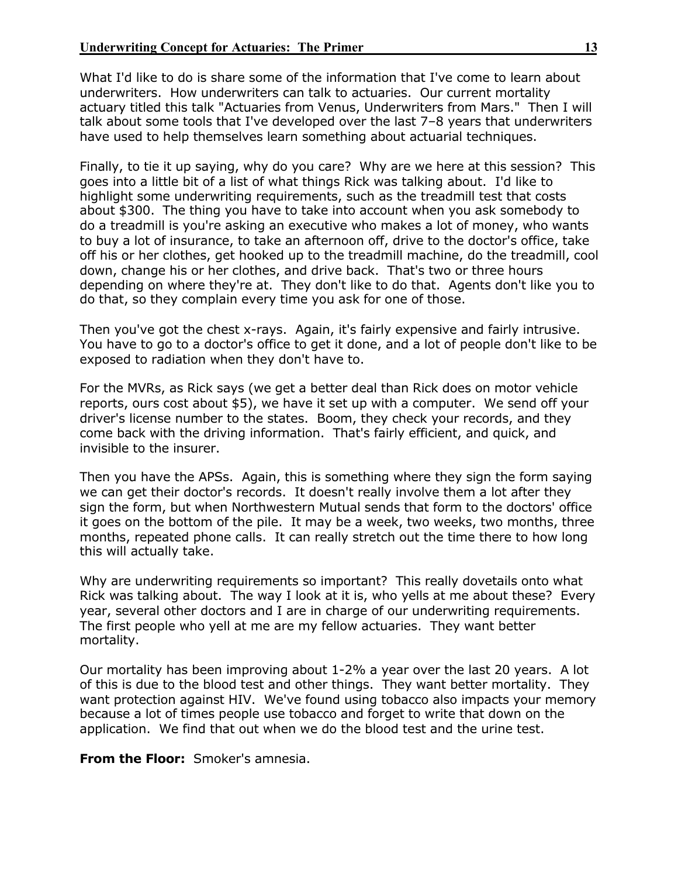What I'd like to do is share some of the information that I've come to learn about underwriters. How underwriters can talk to actuaries. Our current mortality actuary titled this talk "Actuaries from Venus, Underwriters from Mars." Then I will talk about some tools that I've developed over the last 7–8 years that underwriters have used to help themselves learn something about actuarial techniques.

Finally, to tie it up saying, why do you care? Why are we here at this session? This goes into a little bit of a list of what things Rick was talking about. I'd like to highlight some underwriting requirements, such as the treadmill test that costs about \$300. The thing you have to take into account when you ask somebody to do a treadmill is you're asking an executive who makes a lot of money, who wants to buy a lot of insurance, to take an afternoon off, drive to the doctor's office, take off his or her clothes, get hooked up to the treadmill machine, do the treadmill, cool down, change his or her clothes, and drive back. That's two or three hours depending on where they're at. They don't like to do that. Agents don't like you to do that, so they complain every time you ask for one of those.

Then you've got the chest x-rays. Again, it's fairly expensive and fairly intrusive. You have to go to a doctor's office to get it done, and a lot of people don't like to be exposed to radiation when they don't have to.

For the MVRs, as Rick says (we get a better deal than Rick does on motor vehicle reports, ours cost about \$5), we have it set up with a computer. We send off your driver's license number to the states. Boom, they check your records, and they come back with the driving information. That's fairly efficient, and quick, and invisible to the insurer.

Then you have the APSs. Again, this is something where they sign the form saying we can get their doctor's records. It doesn't really involve them a lot after they sign the form, but when Northwestern Mutual sends that form to the doctors' office it goes on the bottom of the pile. It may be a week, two weeks, two months, three months, repeated phone calls. It can really stretch out the time there to how long this will actually take.

Why are underwriting requirements so important? This really dovetails onto what Rick was talking about. The way I look at it is, who yells at me about these? Every year, several other doctors and I are in charge of our underwriting requirements. The first people who yell at me are my fellow actuaries. They want better mortality.

Our mortality has been improving about 1-2% a year over the last 20 years. A lot of this is due to the blood test and other things. They want better mortality. They want protection against HIV. We've found using tobacco also impacts your memory because a lot of times people use tobacco and forget to write that down on the application. We find that out when we do the blood test and the urine test.

**From the Floor:** Smoker's amnesia.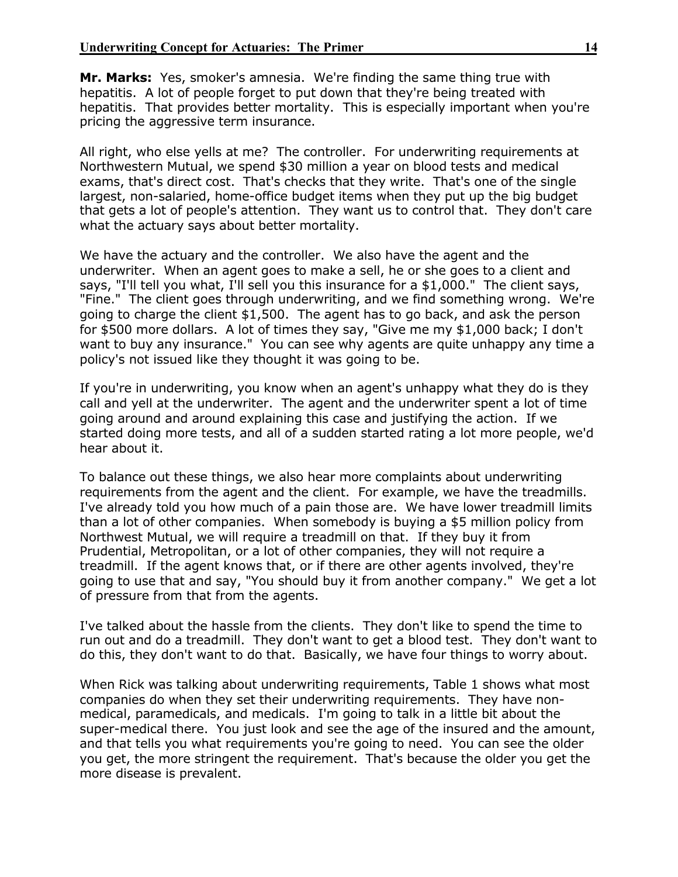**Mr. Marks:** Yes, smoker's amnesia. We're finding the same thing true with hepatitis. A lot of people forget to put down that they're being treated with hepatitis. That provides better mortality. This is especially important when you're pricing the aggressive term insurance.

All right, who else yells at me? The controller. For underwriting requirements at Northwestern Mutual, we spend \$30 million a year on blood tests and medical exams, that's direct cost. That's checks that they write. That's one of the single largest, non-salaried, home-office budget items when they put up the big budget that gets a lot of people's attention. They want us to control that. They don't care what the actuary says about better mortality.

We have the actuary and the controller. We also have the agent and the underwriter. When an agent goes to make a sell, he or she goes to a client and says, "I'll tell you what, I'll sell you this insurance for a \$1,000." The client says, "Fine." The client goes through underwriting, and we find something wrong. We're going to charge the client \$1,500. The agent has to go back, and ask the person for \$500 more dollars. A lot of times they say, "Give me my \$1,000 back; I don't want to buy any insurance." You can see why agents are quite unhappy any time a policy's not issued like they thought it was going to be.

If you're in underwriting, you know when an agent's unhappy what they do is they call and yell at the underwriter. The agent and the underwriter spent a lot of time going around and around explaining this case and justifying the action. If we started doing more tests, and all of a sudden started rating a lot more people, we'd hear about it.

To balance out these things, we also hear more complaints about underwriting requirements from the agent and the client. For example, we have the treadmills. I've already told you how much of a pain those are. We have lower treadmill limits than a lot of other companies. When somebody is buying a \$5 million policy from Northwest Mutual, we will require a treadmill on that. If they buy it from Prudential, Metropolitan, or a lot of other companies, they will not require a treadmill. If the agent knows that, or if there are other agents involved, they're going to use that and say, "You should buy it from another company." We get a lot of pressure from that from the agents.

I've talked about the hassle from the clients. They don't like to spend the time to run out and do a treadmill. They don't want to get a blood test. They don't want to do this, they don't want to do that. Basically, we have four things to worry about.

When Rick was talking about underwriting requirements, Table 1 shows what most companies do when they set their underwriting requirements. They have nonmedical, paramedicals, and medicals. I'm going to talk in a little bit about the super-medical there. You just look and see the age of the insured and the amount, and that tells you what requirements you're going to need. You can see the older you get, the more stringent the requirement. That's because the older you get the more disease is prevalent.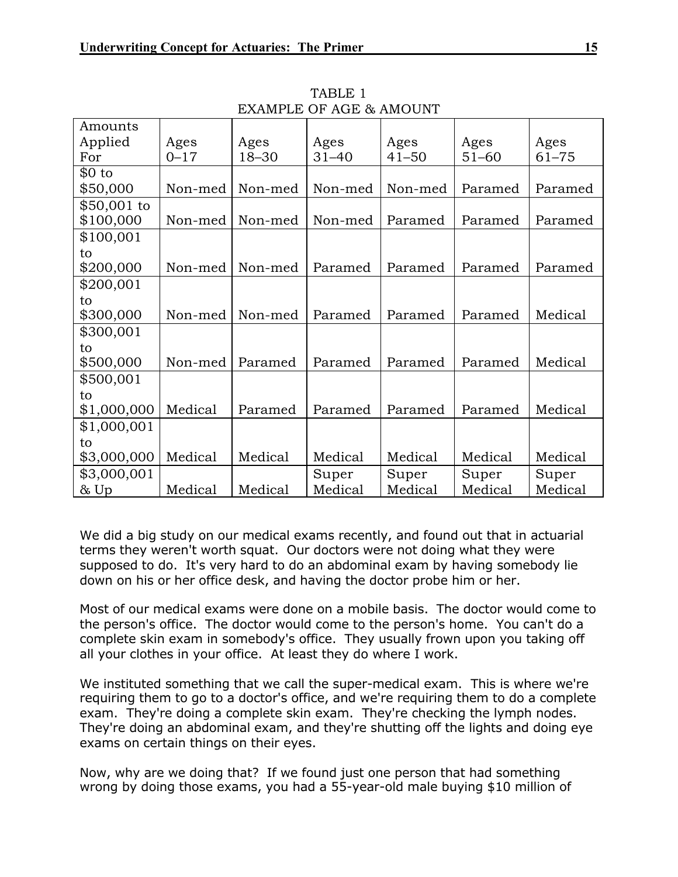| Amounts     |          |           |           |           |           |           |
|-------------|----------|-----------|-----------|-----------|-----------|-----------|
| Applied     | Ages     | Ages      | Ages      | Ages      | Ages      | Ages      |
| For         | $0 - 17$ | $18 - 30$ | $31 - 40$ | $41 - 50$ | $51 - 60$ | $61 - 75$ |
| \$0 to      |          |           |           |           |           |           |
| \$50,000    | Non-med  | Non-med   | Non-med   | Non-med   | Paramed   | Paramed   |
| \$50,001 to |          |           |           |           |           |           |
| \$100,000   | Non-med  | Non-med   | Non-med   | Paramed   | Paramed   | Paramed   |
| \$100,001   |          |           |           |           |           |           |
| to          |          |           |           |           |           |           |
| \$200,000   | Non-med  | Non-med   | Paramed   | Paramed   | Paramed   | Paramed   |
| \$200,001   |          |           |           |           |           |           |
| to          |          |           |           |           |           |           |
| \$300,000   | Non-med  | Non-med   | Paramed   | Paramed   | Paramed   | Medical   |
| \$300,001   |          |           |           |           |           |           |
| to          |          |           |           |           |           |           |
| \$500,000   | Non-med  | Paramed   | Paramed   | Paramed   | Paramed   | Medical   |
| \$500,001   |          |           |           |           |           |           |
| to          |          |           |           |           |           |           |
| \$1,000,000 | Medical  | Paramed   | Paramed   | Paramed   | Paramed   | Medical   |
| \$1,000,001 |          |           |           |           |           |           |
| to          |          |           |           |           |           |           |
| \$3,000,000 | Medical  | Medical   | Medical   | Medical   | Medical   | Medical   |
| \$3,000,001 |          |           | Super     | Super     | Super     | Super     |
| $\&$ Up     | Medical  | Medical   | Medical   | Medical   | Medical   | Medical   |

TABLE 1 EXAMPLE OF AGE & AMOUNT

We did a big study on our medical exams recently, and found out that in actuarial terms they weren't worth squat. Our doctors were not doing what they were supposed to do. It's very hard to do an abdominal exam by having somebody lie down on his or her office desk, and having the doctor probe him or her.

Most of our medical exams were done on a mobile basis. The doctor would come to the person's office. The doctor would come to the person's home. You can't do a complete skin exam in somebody's office. They usually frown upon you taking off all your clothes in your office. At least they do where I work.

We instituted something that we call the super-medical exam. This is where we're requiring them to go to a doctor's office, and we're requiring them to do a complete exam. They're doing a complete skin exam. They're checking the lymph nodes. They're doing an abdominal exam, and they're shutting off the lights and doing eye exams on certain things on their eyes.

Now, why are we doing that? If we found just one person that had something wrong by doing those exams, you had a 55-year-old male buying \$10 million of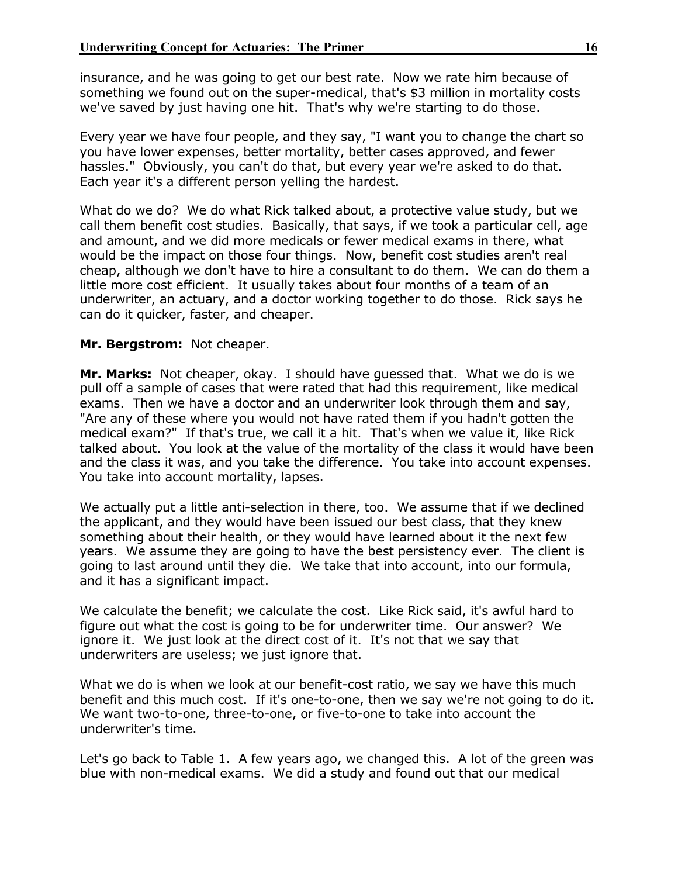insurance, and he was going to get our best rate. Now we rate him because of something we found out on the super-medical, that's \$3 million in mortality costs we've saved by just having one hit. That's why we're starting to do those.

Every year we have four people, and they say, "I want you to change the chart so you have lower expenses, better mortality, better cases approved, and fewer hassles." Obviously, you can't do that, but every year we're asked to do that. Each year it's a different person yelling the hardest.

What do we do? We do what Rick talked about, a protective value study, but we call them benefit cost studies. Basically, that says, if we took a particular cell, age and amount, and we did more medicals or fewer medical exams in there, what would be the impact on those four things. Now, benefit cost studies aren't real cheap, although we don't have to hire a consultant to do them. We can do them a little more cost efficient. It usually takes about four months of a team of an underwriter, an actuary, and a doctor working together to do those. Rick says he can do it quicker, faster, and cheaper.

## **Mr. Bergstrom:** Not cheaper.

**Mr. Marks:** Not cheaper, okay. I should have guessed that. What we do is we pull off a sample of cases that were rated that had this requirement, like medical exams. Then we have a doctor and an underwriter look through them and say, "Are any of these where you would not have rated them if you hadn't gotten the medical exam?" If that's true, we call it a hit. That's when we value it, like Rick talked about. You look at the value of the mortality of the class it would have been and the class it was, and you take the difference. You take into account expenses. You take into account mortality, lapses.

We actually put a little anti-selection in there, too. We assume that if we declined the applicant, and they would have been issued our best class, that they knew something about their health, or they would have learned about it the next few years. We assume they are going to have the best persistency ever. The client is going to last around until they die. We take that into account, into our formula, and it has a significant impact.

We calculate the benefit; we calculate the cost. Like Rick said, it's awful hard to figure out what the cost is going to be for underwriter time. Our answer? We ignore it. We just look at the direct cost of it. It's not that we say that underwriters are useless; we just ignore that.

What we do is when we look at our benefit-cost ratio, we say we have this much benefit and this much cost. If it's one-to-one, then we say we're not going to do it. We want two-to-one, three-to-one, or five-to-one to take into account the underwriter's time.

Let's go back to Table 1. A few years ago, we changed this. A lot of the green was blue with non-medical exams. We did a study and found out that our medical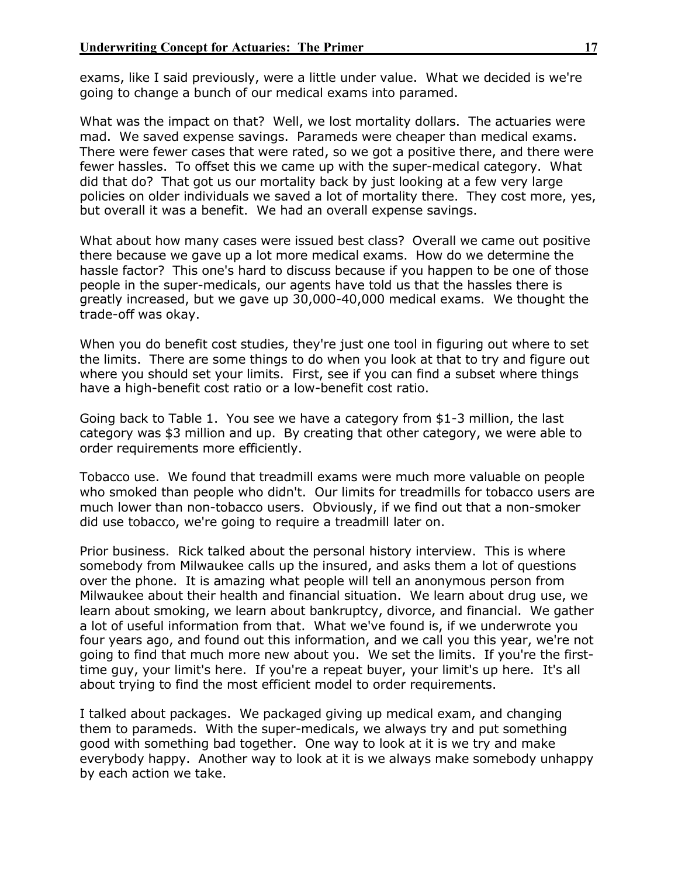exams, like I said previously, were a little under value. What we decided is we're going to change a bunch of our medical exams into paramed.

What was the impact on that? Well, we lost mortality dollars. The actuaries were mad. We saved expense savings. Parameds were cheaper than medical exams. There were fewer cases that were rated, so we got a positive there, and there were fewer hassles. To offset this we came up with the super-medical category. What did that do? That got us our mortality back by just looking at a few very large policies on older individuals we saved a lot of mortality there. They cost more, yes, but overall it was a benefit. We had an overall expense savings.

What about how many cases were issued best class? Overall we came out positive there because we gave up a lot more medical exams. How do we determine the hassle factor? This one's hard to discuss because if you happen to be one of those people in the super-medicals, our agents have told us that the hassles there is greatly increased, but we gave up 30,000-40,000 medical exams. We thought the trade-off was okay.

When you do benefit cost studies, they're just one tool in figuring out where to set the limits. There are some things to do when you look at that to try and figure out where you should set your limits. First, see if you can find a subset where things have a high-benefit cost ratio or a low-benefit cost ratio.

Going back to Table 1. You see we have a category from \$1-3 million, the last category was \$3 million and up. By creating that other category, we were able to order requirements more efficiently.

Tobacco use. We found that treadmill exams were much more valuable on people who smoked than people who didn't. Our limits for treadmills for tobacco users are much lower than non-tobacco users. Obviously, if we find out that a non-smoker did use tobacco, we're going to require a treadmill later on.

Prior business. Rick talked about the personal history interview. This is where somebody from Milwaukee calls up the insured, and asks them a lot of questions over the phone. It is amazing what people will tell an anonymous person from Milwaukee about their health and financial situation. We learn about drug use, we learn about smoking, we learn about bankruptcy, divorce, and financial. We gather a lot of useful information from that. What we've found is, if we underwrote you four years ago, and found out this information, and we call you this year, we're not going to find that much more new about you. We set the limits. If you're the firsttime guy, your limit's here. If you're a repeat buyer, your limit's up here. It's all about trying to find the most efficient model to order requirements.

I talked about packages. We packaged giving up medical exam, and changing them to parameds. With the super-medicals, we always try and put something good with something bad together. One way to look at it is we try and make everybody happy. Another way to look at it is we always make somebody unhappy by each action we take.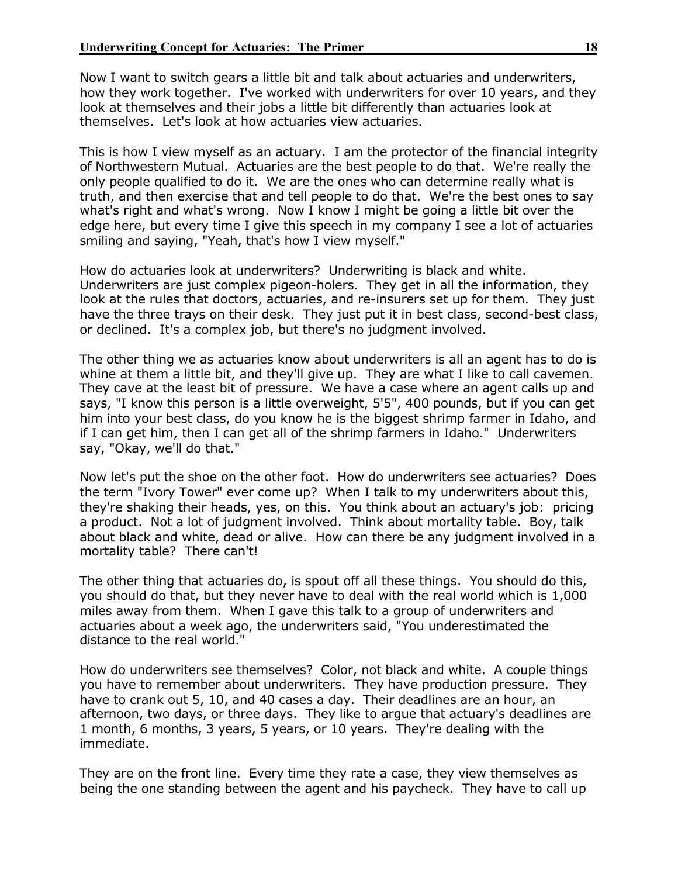Now I want to switch gears a little bit and talk about actuaries and underwriters, how they work together. I've worked with underwriters for over 10 years, and they look at themselves and their jobs a little bit differently than actuaries look at themselves. Let's look at how actuaries view actuaries.

This is how I view myself as an actuary. I am the protector of the financial integrity of Northwestern Mutual. Actuaries are the best people to do that. We're really the only people qualified to do it. We are the ones who can determine really what is truth, and then exercise that and tell people to do that. We're the best ones to say what's right and what's wrong. Now I know I might be going a little bit over the edge here, but every time I give this speech in my company I see a lot of actuaries smiling and saying, "Yeah, that's how I view myself."

How do actuaries look at underwriters? Underwriting is black and white. Underwriters are just complex pigeon-holers. They get in all the information, they look at the rules that doctors, actuaries, and re-insurers set up for them. They just have the three trays on their desk. They just put it in best class, second-best class, or declined. It's a complex job, but there's no judgment involved.

The other thing we as actuaries know about underwriters is all an agent has to do is whine at them a little bit, and they'll give up. They are what I like to call cavemen. They cave at the least bit of pressure. We have a case where an agent calls up and says, "I know this person is a little overweight, 5'5", 400 pounds, but if you can get him into your best class, do you know he is the biggest shrimp farmer in Idaho, and if I can get him, then I can get all of the shrimp farmers in Idaho." Underwriters say, "Okay, we'll do that."

Now let's put the shoe on the other foot. How do underwriters see actuaries? Does the term "Ivory Tower" ever come up? When I talk to my underwriters about this, they're shaking their heads, yes, on this. You think about an actuary's job: pricing a product. Not a lot of judgment involved. Think about mortality table. Boy, talk about black and white, dead or alive. How can there be any judgment involved in a mortality table? There can't!

The other thing that actuaries do, is spout off all these things. You should do this, you should do that, but they never have to deal with the real world which is 1,000 miles away from them. When I gave this talk to a group of underwriters and actuaries about a week ago, the underwriters said, "You underestimated the distance to the real world."

How do underwriters see themselves? Color, not black and white. A couple things you have to remember about underwriters. They have production pressure. They have to crank out 5, 10, and 40 cases a day. Their deadlines are an hour, an afternoon, two days, or three days. They like to argue that actuary's deadlines are 1 month, 6 months, 3 years, 5 years, or 10 years. They're dealing with the immediate.

They are on the front line. Every time they rate a case, they view themselves as being the one standing between the agent and his paycheck. They have to call up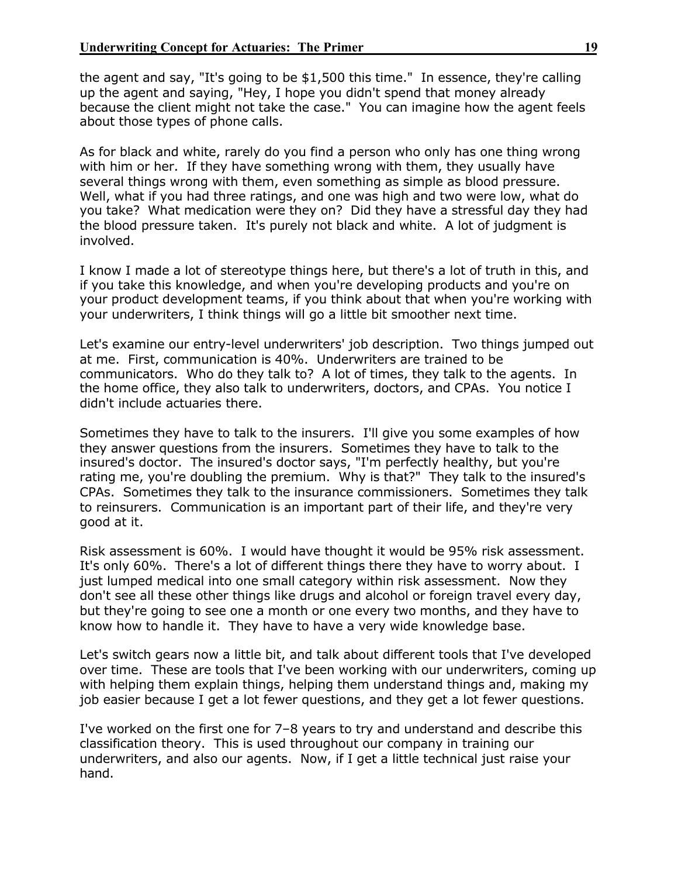the agent and say, "It's going to be \$1,500 this time." In essence, they're calling up the agent and saying, "Hey, I hope you didn't spend that money already because the client might not take the case." You can imagine how the agent feels about those types of phone calls.

As for black and white, rarely do you find a person who only has one thing wrong with him or her. If they have something wrong with them, they usually have several things wrong with them, even something as simple as blood pressure. Well, what if you had three ratings, and one was high and two were low, what do you take? What medication were they on? Did they have a stressful day they had the blood pressure taken. It's purely not black and white. A lot of judgment is involved.

I know I made a lot of stereotype things here, but there's a lot of truth in this, and if you take this knowledge, and when you're developing products and you're on your product development teams, if you think about that when you're working with your underwriters, I think things will go a little bit smoother next time.

Let's examine our entry-level underwriters' job description. Two things jumped out at me. First, communication is 40%. Underwriters are trained to be communicators. Who do they talk to? A lot of times, they talk to the agents. In the home office, they also talk to underwriters, doctors, and CPAs. You notice I didn't include actuaries there.

Sometimes they have to talk to the insurers. I'll give you some examples of how they answer questions from the insurers. Sometimes they have to talk to the insured's doctor. The insured's doctor says, "I'm perfectly healthy, but you're rating me, you're doubling the premium. Why is that?" They talk to the insured's CPAs. Sometimes they talk to the insurance commissioners. Sometimes they talk to reinsurers. Communication is an important part of their life, and they're very good at it.

Risk assessment is 60%. I would have thought it would be 95% risk assessment. It's only 60%. There's a lot of different things there they have to worry about. I just lumped medical into one small category within risk assessment. Now they don't see all these other things like drugs and alcohol or foreign travel every day, but they're going to see one a month or one every two months, and they have to know how to handle it. They have to have a very wide knowledge base.

Let's switch gears now a little bit, and talk about different tools that I've developed over time. These are tools that I've been working with our underwriters, coming up with helping them explain things, helping them understand things and, making my job easier because I get a lot fewer questions, and they get a lot fewer questions.

I've worked on the first one for 7–8 years to try and understand and describe this classification theory. This is used throughout our company in training our underwriters, and also our agents. Now, if I get a little technical just raise your hand.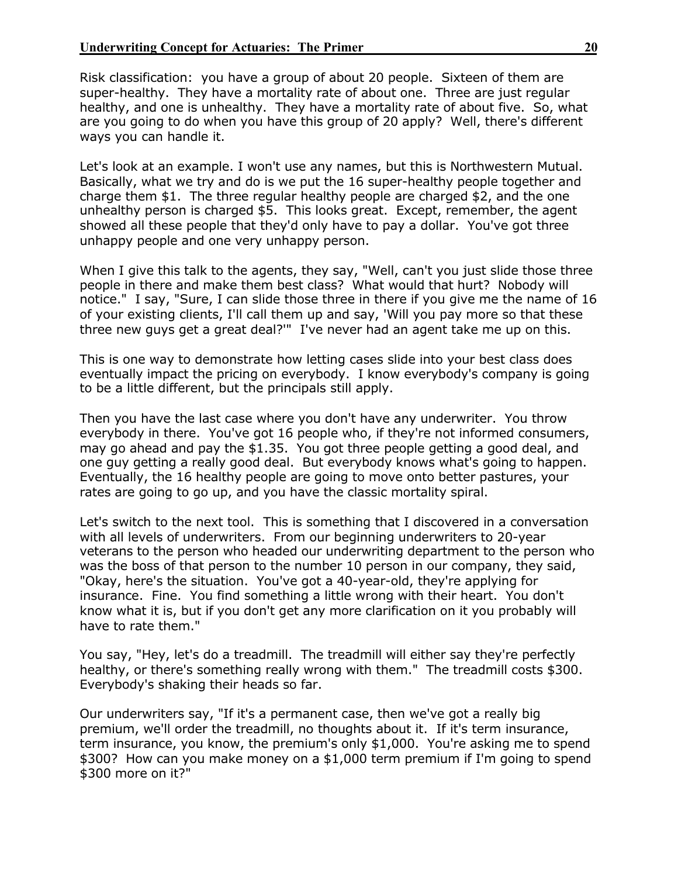Risk classification: you have a group of about 20 people. Sixteen of them are super-healthy. They have a mortality rate of about one. Three are just regular healthy, and one is unhealthy. They have a mortality rate of about five. So, what are you going to do when you have this group of 20 apply? Well, there's different ways you can handle it.

Let's look at an example. I won't use any names, but this is Northwestern Mutual. Basically, what we try and do is we put the 16 super-healthy people together and charge them \$1. The three regular healthy people are charged \$2, and the one unhealthy person is charged \$5. This looks great. Except, remember, the agent showed all these people that they'd only have to pay a dollar. You've got three unhappy people and one very unhappy person.

When I give this talk to the agents, they say, "Well, can't you just slide those three people in there and make them best class? What would that hurt? Nobody will notice." I say, "Sure, I can slide those three in there if you give me the name of 16 of your existing clients, I'll call them up and say, 'Will you pay more so that these three new guys get a great deal?'" I've never had an agent take me up on this.

This is one way to demonstrate how letting cases slide into your best class does eventually impact the pricing on everybody. I know everybody's company is going to be a little different, but the principals still apply.

Then you have the last case where you don't have any underwriter. You throw everybody in there. You've got 16 people who, if they're not informed consumers, may go ahead and pay the \$1.35. You got three people getting a good deal, and one guy getting a really good deal. But everybody knows what's going to happen. Eventually, the 16 healthy people are going to move onto better pastures, your rates are going to go up, and you have the classic mortality spiral.

Let's switch to the next tool. This is something that I discovered in a conversation with all levels of underwriters. From our beginning underwriters to 20-year veterans to the person who headed our underwriting department to the person who was the boss of that person to the number 10 person in our company, they said, "Okay, here's the situation. You've got a 40-year-old, they're applying for insurance. Fine. You find something a little wrong with their heart. You don't know what it is, but if you don't get any more clarification on it you probably will have to rate them."

You say, "Hey, let's do a treadmill. The treadmill will either say they're perfectly healthy, or there's something really wrong with them." The treadmill costs \$300. Everybody's shaking their heads so far.

Our underwriters say, "If it's a permanent case, then we've got a really big premium, we'll order the treadmill, no thoughts about it. If it's term insurance, term insurance, you know, the premium's only \$1,000. You're asking me to spend \$300? How can you make money on a \$1,000 term premium if I'm going to spend \$300 more on it?"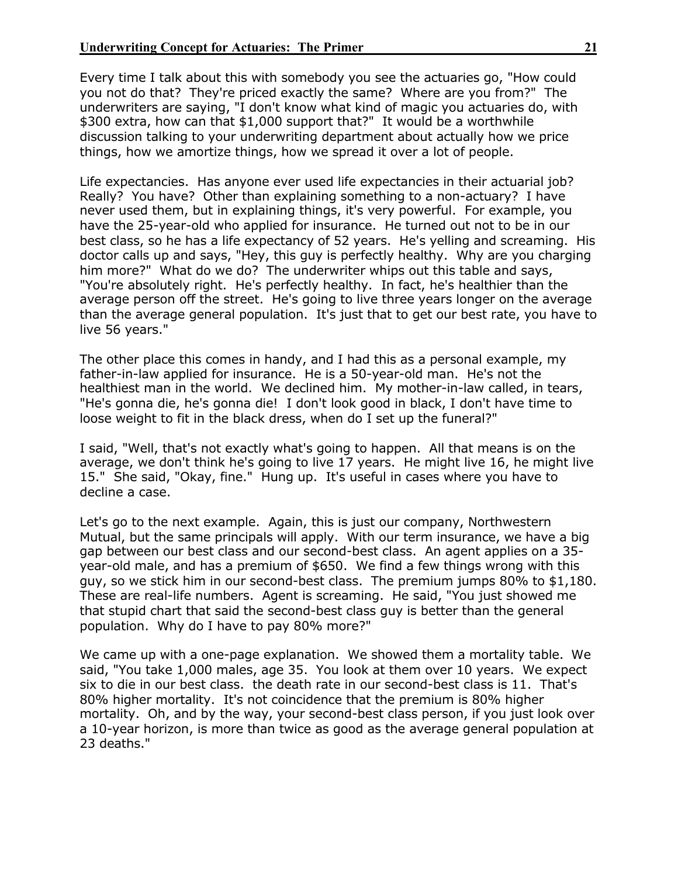Every time I talk about this with somebody you see the actuaries go, "How could you not do that? They're priced exactly the same? Where are you from?" The underwriters are saying, "I don't know what kind of magic you actuaries do, with \$300 extra, how can that \$1,000 support that?" It would be a worthwhile discussion talking to your underwriting department about actually how we price things, how we amortize things, how we spread it over a lot of people.

Life expectancies. Has anyone ever used life expectancies in their actuarial job? Really? You have? Other than explaining something to a non-actuary? I have never used them, but in explaining things, it's very powerful. For example, you have the 25-year-old who applied for insurance. He turned out not to be in our best class, so he has a life expectancy of 52 years. He's yelling and screaming. His doctor calls up and says, "Hey, this guy is perfectly healthy. Why are you charging him more?" What do we do? The underwriter whips out this table and says, "You're absolutely right. He's perfectly healthy. In fact, he's healthier than the average person off the street. He's going to live three years longer on the average than the average general population. It's just that to get our best rate, you have to live 56 years."

The other place this comes in handy, and I had this as a personal example, my father-in-law applied for insurance. He is a 50-year-old man. He's not the healthiest man in the world. We declined him. My mother-in-law called, in tears, "He's gonna die, he's gonna die! I don't look good in black, I don't have time to loose weight to fit in the black dress, when do I set up the funeral?"

I said, "Well, that's not exactly what's going to happen. All that means is on the average, we don't think he's going to live 17 years. He might live 16, he might live 15." She said, "Okay, fine." Hung up. It's useful in cases where you have to decline a case.

Let's go to the next example. Again, this is just our company, Northwestern Mutual, but the same principals will apply. With our term insurance, we have a big gap between our best class and our second-best class. An agent applies on a 35 year-old male, and has a premium of \$650. We find a few things wrong with this guy, so we stick him in our second-best class. The premium jumps 80% to \$1,180. These are real-life numbers. Agent is screaming. He said, "You just showed me that stupid chart that said the second-best class guy is better than the general population. Why do I have to pay 80% more?"

We came up with a one-page explanation. We showed them a mortality table.We said, "You take 1,000 males, age 35. You look at them over 10 years. We expect six to die in our best class. the death rate in our second-best class is 11. That's 80% higher mortality. It's not coincidence that the premium is 80% higher mortality. Oh, and by the way, your second-best class person, if you just look over a 10-year horizon, is more than twice as good as the average general population at 23 deaths."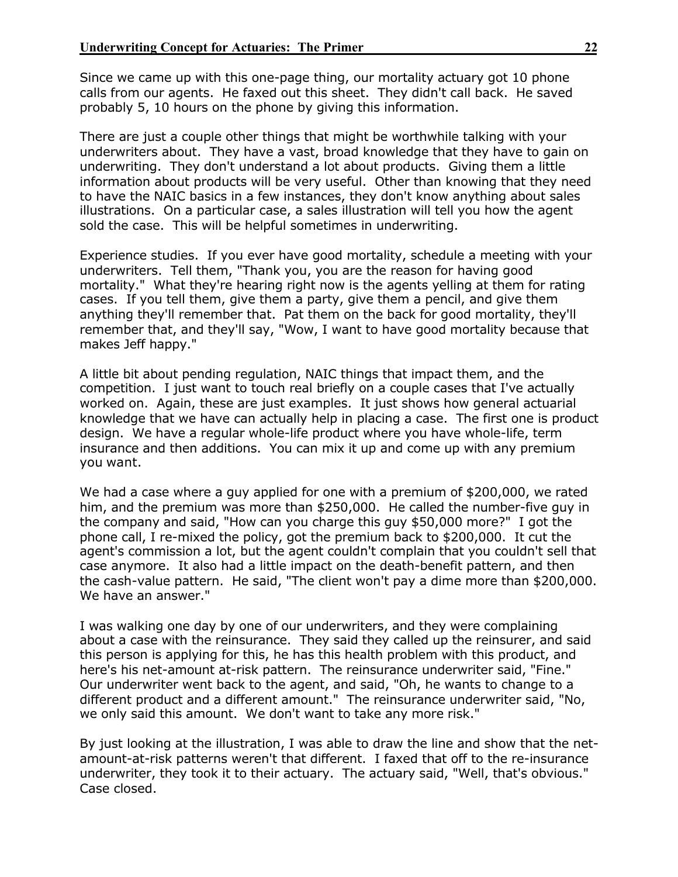Since we came up with this one-page thing, our mortality actuary got 10 phone calls from our agents. He faxed out this sheet. They didn't call back. He saved probably 5, 10 hours on the phone by giving this information.

There are just a couple other things that might be worthwhile talking with your underwriters about. They have a vast, broad knowledge that they have to gain on underwriting. They don't understand a lot about products. Giving them a little information about products will be very useful. Other than knowing that they need to have the NAIC basics in a few instances, they don't know anything about sales illustrations. On a particular case, a sales illustration will tell you how the agent sold the case. This will be helpful sometimes in underwriting.

Experience studies. If you ever have good mortality, schedule a meeting with your underwriters. Tell them, "Thank you, you are the reason for having good mortality." What they're hearing right now is the agents yelling at them for rating cases. If you tell them, give them a party, give them a pencil, and give them anything they'll remember that. Pat them on the back for good mortality, they'll remember that, and they'll say, "Wow, I want to have good mortality because that makes Jeff happy."

A little bit about pending regulation, NAIC things that impact them, and the competition. I just want to touch real briefly on a couple cases that I've actually worked on. Again, these are just examples. It just shows how general actuarial knowledge that we have can actually help in placing a case. The first one is product design. We have a regular whole-life product where you have whole-life, term insurance and then additions. You can mix it up and come up with any premium you want.

We had a case where a guy applied for one with a premium of \$200,000, we rated him, and the premium was more than \$250,000. He called the number-five guy in the company and said, "How can you charge this guy \$50,000 more?" I got the phone call, I re-mixed the policy, got the premium back to \$200,000. It cut the agent's commission a lot, but the agent couldn't complain that you couldn't sell that case anymore. It also had a little impact on the death-benefit pattern, and then the cash-value pattern. He said, "The client won't pay a dime more than \$200,000. We have an answer."

I was walking one day by one of our underwriters, and they were complaining about a case with the reinsurance. They said they called up the reinsurer, and said this person is applying for this, he has this health problem with this product, and here's his net-amount at-risk pattern. The reinsurance underwriter said, "Fine." Our underwriter went back to the agent, and said, "Oh, he wants to change to a different product and a different amount." The reinsurance underwriter said, "No, we only said this amount. We don't want to take any more risk."

By just looking at the illustration, I was able to draw the line and show that the netamount-at-risk patterns weren't that different. I faxed that off to the re-insurance underwriter, they took it to their actuary. The actuary said, "Well, that's obvious." Case closed.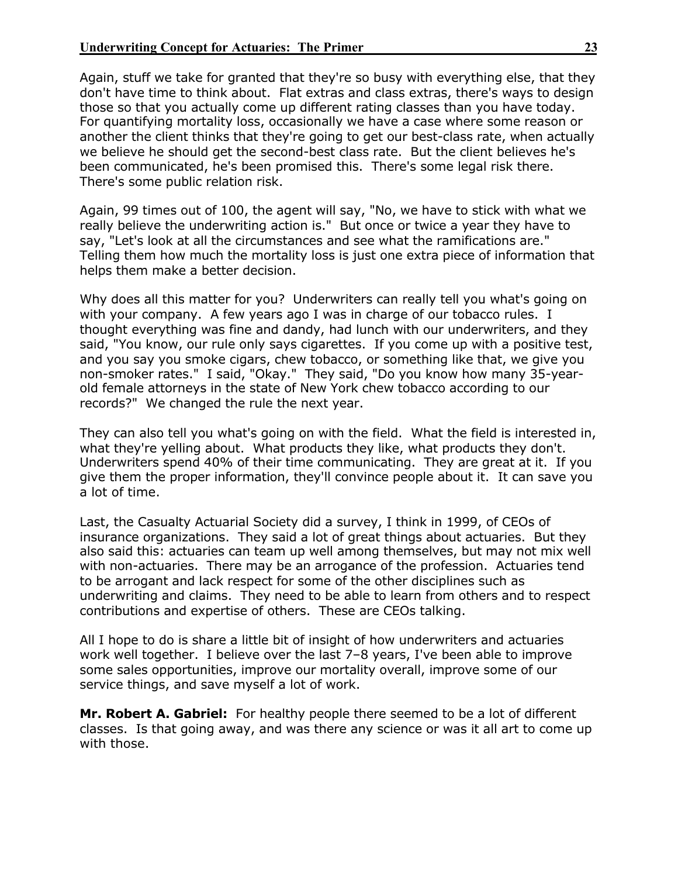Again, stuff we take for granted that they're so busy with everything else, that they don't have time to think about. Flat extras and class extras, there's ways to design those so that you actually come up different rating classes than you have today. For quantifying mortality loss, occasionally we have a case where some reason or another the client thinks that they're going to get our best-class rate, when actually we believe he should get the second-best class rate. But the client believes he's been communicated, he's been promised this. There's some legal risk there. There's some public relation risk.

Again, 99 times out of 100, the agent will say, "No, we have to stick with what we really believe the underwriting action is." But once or twice a year they have to say, "Let's look at all the circumstances and see what the ramifications are." Telling them how much the mortality loss is just one extra piece of information that helps them make a better decision.

Why does all this matter for you? Underwriters can really tell you what's going on with your company. A few years ago I was in charge of our tobacco rules. I thought everything was fine and dandy, had lunch with our underwriters, and they said, "You know, our rule only says cigarettes. If you come up with a positive test, and you say you smoke cigars, chew tobacco, or something like that, we give you non-smoker rates." I said, "Okay." They said, "Do you know how many 35-yearold female attorneys in the state of New York chew tobacco according to our records?" We changed the rule the next year.

They can also tell you what's going on with the field. What the field is interested in, what they're yelling about. What products they like, what products they don't. Underwriters spend 40% of their time communicating. They are great at it. If you give them the proper information, they'll convince people about it. It can save you a lot of time.

Last, the Casualty Actuarial Society did a survey, I think in 1999, of CEOs of insurance organizations. They said a lot of great things about actuaries. But they also said this: actuaries can team up well among themselves, but may not mix well with non-actuaries. There may be an arrogance of the profession. Actuaries tend to be arrogant and lack respect for some of the other disciplines such as underwriting and claims. They need to be able to learn from others and to respect contributions and expertise of others. These are CEOs talking.

All I hope to do is share a little bit of insight of how underwriters and actuaries work well together. I believe over the last 7–8 years, I've been able to improve some sales opportunities, improve our mortality overall, improve some of our service things, and save myself a lot of work.

**Mr. Robert A. Gabriel:** For healthy people there seemed to be a lot of different classes. Is that going away, and was there any science or was it all art to come up with those.